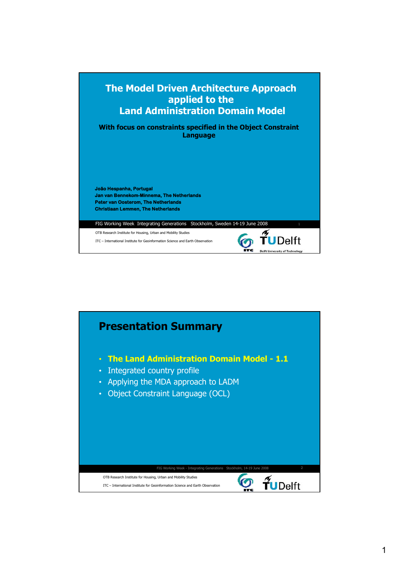

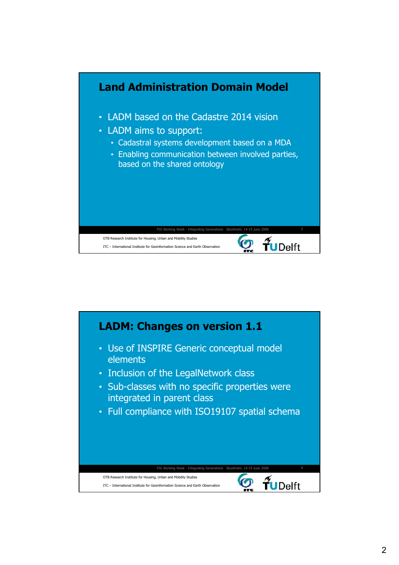

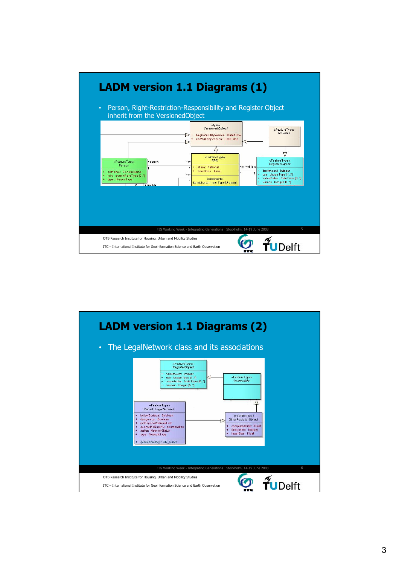

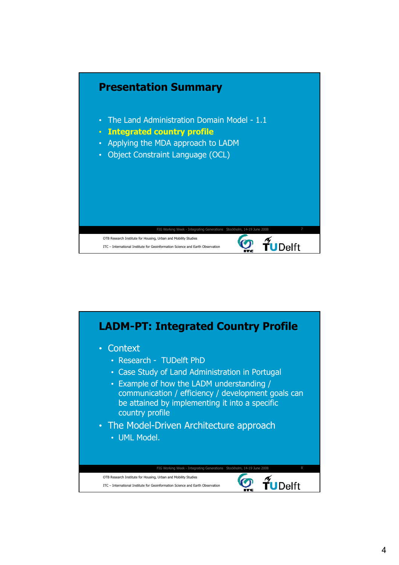

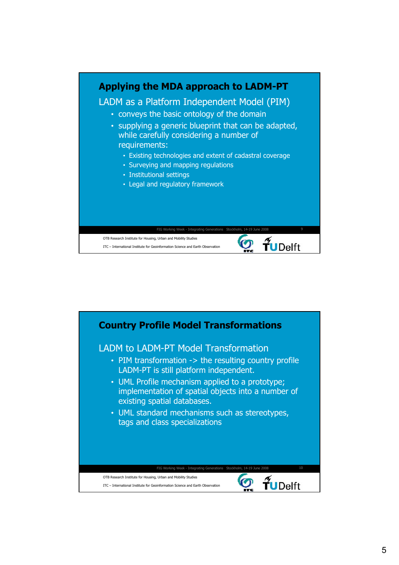

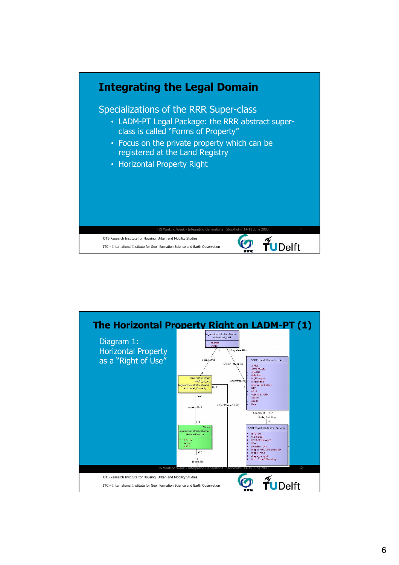

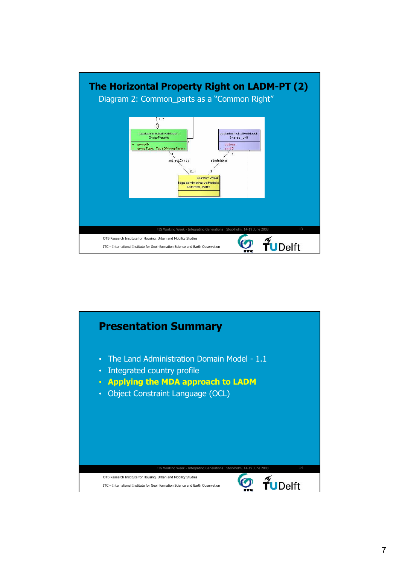

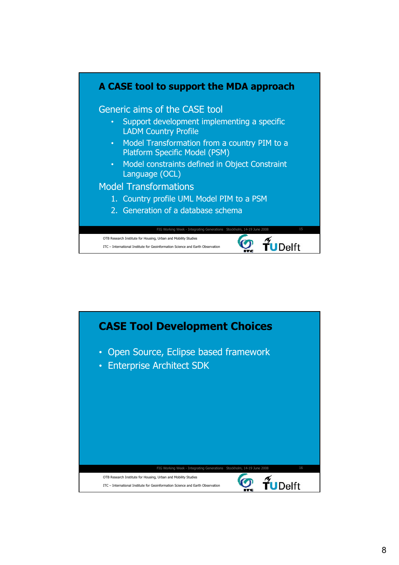

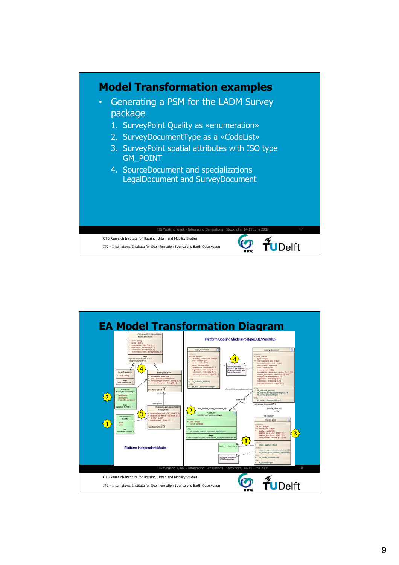

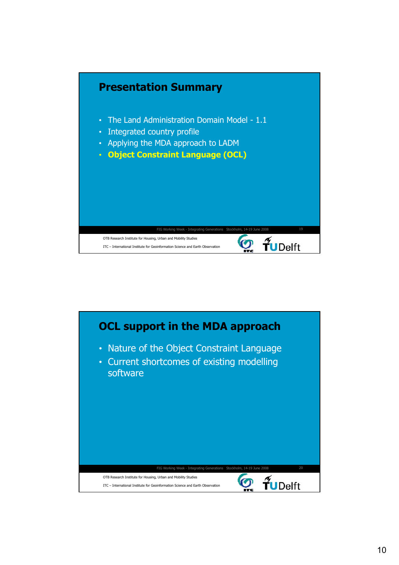

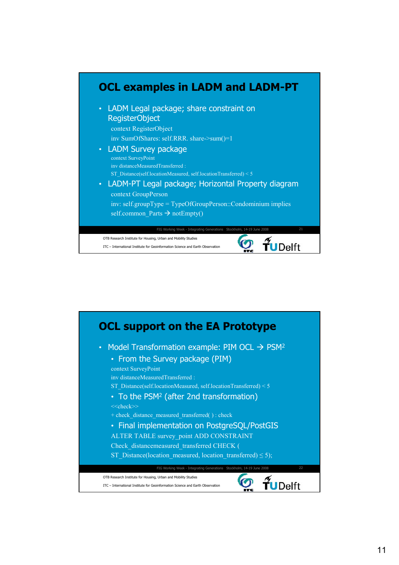

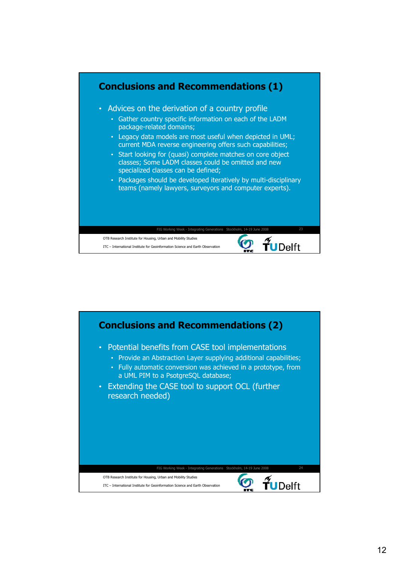